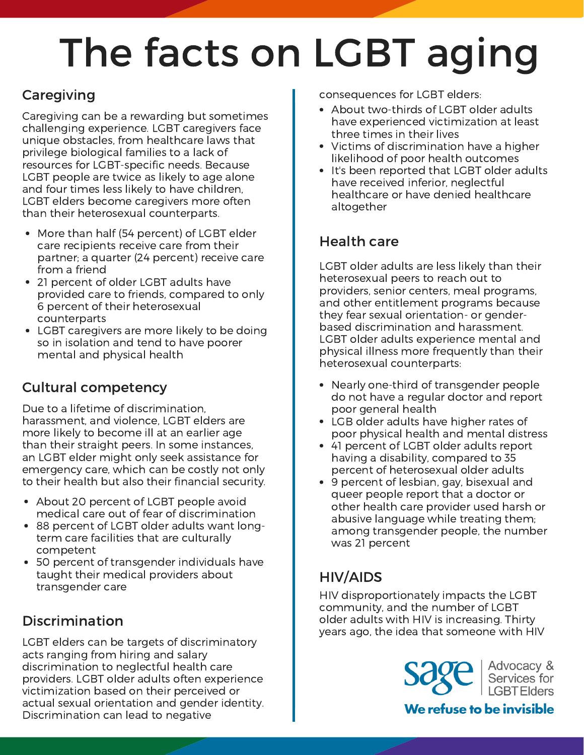# The facts on LGBT aging

### **Caregiving**

Caregiving can be a rewarding but sometimes challenging experience. LGBT caregivers face unique obstacles, from healthcare laws that privilege biological families to a lack of resources for LGBT-specific needs. Because LGBT people are twice as likely to age alone and four times less likely to have children, LGBT elders become caregivers more often than their heterosexual counterparts.

- More than half (54 percent) of LGBT elder care recipients receive care from their partner; a quarter (24 percent) receive care from a friend
- 21 percent of older LGBT adults have provided care to friends, compared to only 6 percent of their heterosexual counterparts
- LGBT caregivers are more likely to be doing so in isolation and tend to have poorer mental and physical health

### Cultural competency

Due to a lifetime of discrimination, harassment, and violence, LGBT elders are more likely to become ill at an earlier age than their straight peers. In some instances, an LGBT elder might only seek assistance for emergency care, which can be costly not only to their health but also their financial security.

- About 20 percent of LGBT people avoid medical care out of fear of discrimination
- 88 percent of LGBT older adults want longterm care facilities that are culturally competent
- 50 percent of transgender individuals have taught their medical providers about transgender care

### Discrimination

LGBT elders can be targets of discriminatory acts ranging from hiring and salary discrimination to neglectful health care providers. LGBT older adults often experience victimization based on their perceived or actual sexual orientation and gender identity. Discrimination can lead to negative

consequences for LGBT elders:

- About two-thirds of LGBT older adults have experienced victimization at least three times in their lives
- Victims of discrimination have a higher likelihood of poor health outcomes
- It's been reported that LGBT older adults have received inferior, neglectful healthcare or have denied healthcare altogether

#### Health care

LGBT older adults are less likely than their heterosexual peers to reach out to providers, senior centers, meal programs, and other entitlement programs because they fear sexual orientation- or genderbased discrimination and harassment. LGBT older adults experience mental and physical illness more frequently than their heterosexual counterparts:

- Nearly one-third of transgender people do not have a regular doctor and report poor general health
- LGB older adults have higher rates of poor physical health and mental distress
- 41 percent of LGBT older adults report having a disability, compared to 35 percent of heterosexual older adults
- 9 percent of lesbian, gay, bisexual and queer people report that a doctor or other health care provider used harsh or abusive language while treating them; among transgender people, the number was 21 percent

### HIV/AIDS

HIV disproportionately impacts the LGBT community, and the number of LGBT older adults with HIV is increasing. Thirty years ago, the idea that someone with HIV

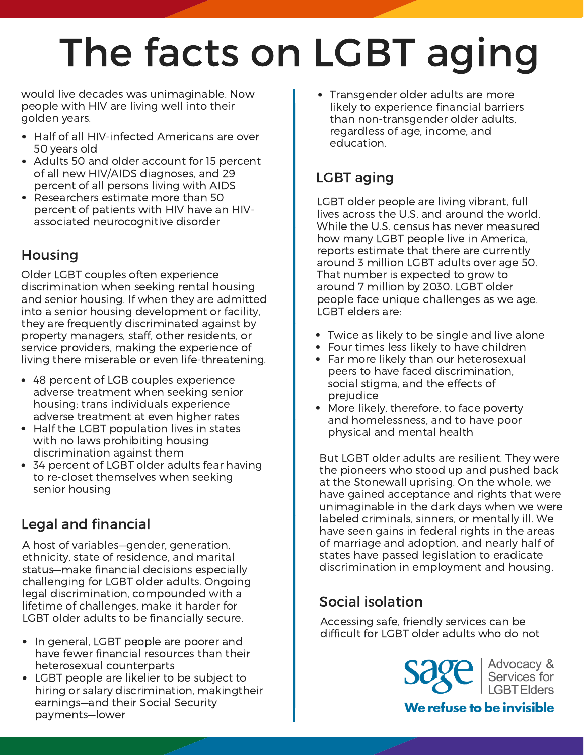# The facts on LGBT aging

would live decades was unimaginable. Now people with HIV are living well into their golden years.

- Half of all HIV-infected Americans are over 50 years old
- Adults 50 and older account for 15 percent of all new HIV/AIDS diagnoses, and 29 percent of all persons living with AIDS
- Researchers estimate more than 50 percent of patients with HIV have an HIVassociated neurocognitive disorder

#### Housing

Older LGBT couples often experience discrimination when seeking rental housing and senior housing. If when they are admitted into a senior housing development or facility, they are frequently discriminated against by property managers, staff, other residents, or service providers, making the experience of living there miserable or even life-threatening.

- 48 percent of LGB couples experience adverse treatment when seeking senior housing; trans individuals experience adverse treatment at even higher rates
- Half the LGBT population lives in states with no laws prohibiting housing discrimination against them
- 34 percent of LGBT older adults fear having to re-closet themselves when seeking senior housing

#### Legal and financial

A host of variables—gender, generation, ethnicity, state of residence, and marital status—make financial decisions especially challenging for LGBT older adults. Ongoing legal discrimination, compounded with a lifetime of challenges, make it harder for LGBT older adults to be financially secure.

- In general, LGBT people are poorer and have fewer financial resources than their heterosexual counterparts
- LGBT people are likelier to be subject to hiring or salary discrimination, makingtheir earnings—and their Social Security payments—lower

Transgender older adults are more likely to experience financial barriers than non-transgender older adults, regardless of age, income, and education.

## LGBT aging

LGBT older people are living vibrant, full lives across the U.S. and around the world. While the U.S. census has never measured how many LGBT people live in America, reports estimate that there are currently around 3 million LGBT adults over age 50. That number is expected to grow to around 7 million by 2030. LGBT older people face unique challenges as we age. LGBT elders are:

- Twice as likely to be single and live alone
- Four times less likely to have children
- Far more likely than our heterosexual peers to have faced discrimination, social stigma, and the effects of prejudice
- More likely, therefore, to face poverty and homelessness, and to have poor physical and mental health

But LGBT older adults are resilient. They were the pioneers who stood up and pushed back at the Stonewall uprising. On the whole, we have gained acceptance and rights that were unimaginable in the dark days when we were labeled criminals, sinners, or mentally ill. We have seen gains in federal rights in the areas of marriage and adoption, and nearly half of states have passed legislation to eradicate discrimination in employment and housing.

#### Social isolation

Accessing safe, friendly services can be difficult for LGBT older adults who do not